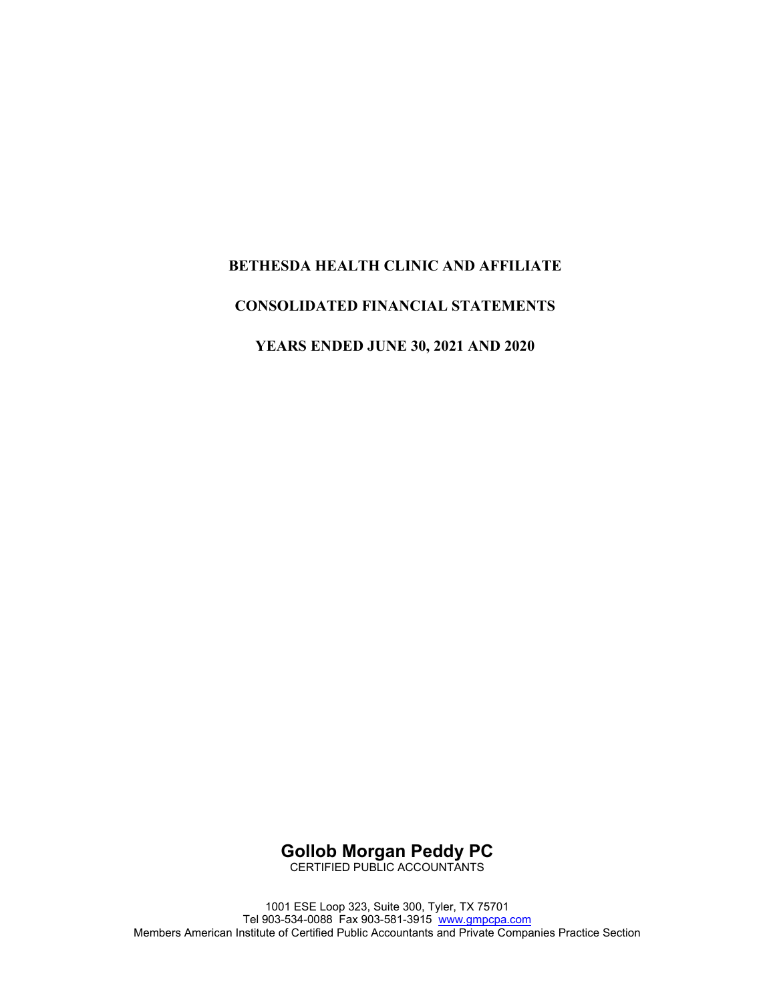# **BETHESDA HEALTH CLINIC AND AFFILIATE**

## **CONSOLIDATED FINANCIAL STATEMENTS**

**YEARS ENDED JUNE 30, 2021 AND 2020** 

# **Gollob Morgan Peddy PC**

CERTIFIED PUBLIC ACCOUNTANTS

1001 ESE Loop 323, Suite 300, Tyler, TX 75701 Tel 903-534-0088 Fax 903-581-3915 www.gmpcpa.com Members American Institute of Certified Public Accountants and Private Companies Practice Section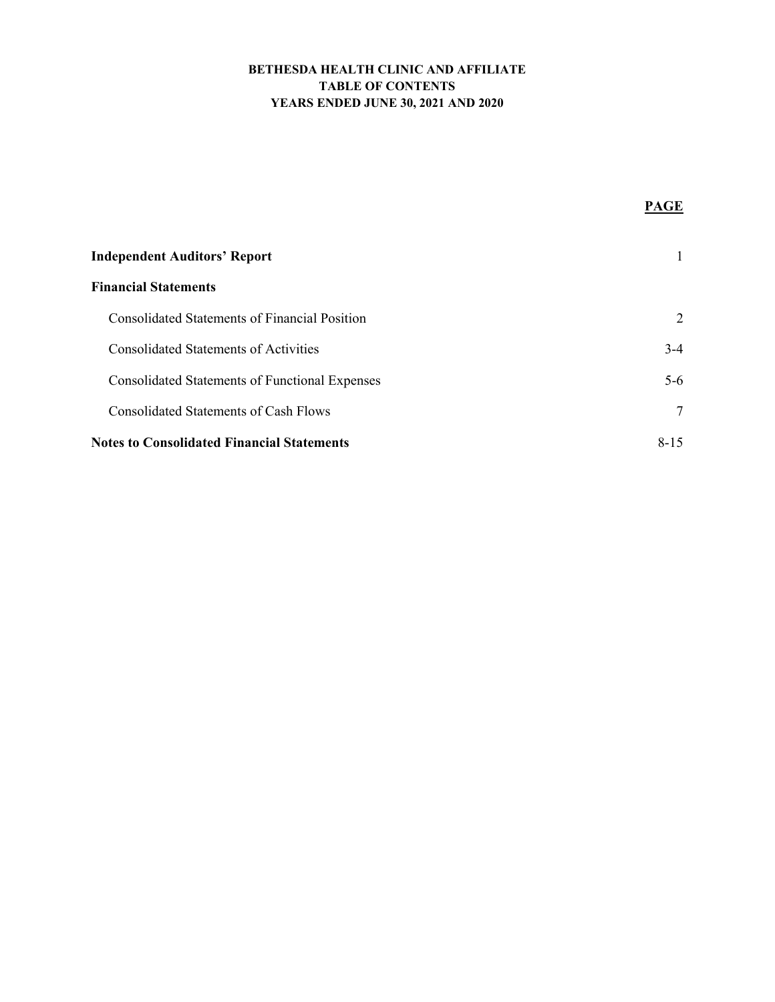# **BETHESDA HEALTH CLINIC AND AFFILIATE TABLE OF CONTENTS YEARS ENDED JUNE 30, 2021 AND 2020**

|                                                      | <b>PAGE</b> |
|------------------------------------------------------|-------------|
| <b>Independent Auditors' Report</b>                  |             |
| <b>Financial Statements</b>                          |             |
| <b>Consolidated Statements of Financial Position</b> | 2           |
| <b>Consolidated Statements of Activities</b>         | $3-4$       |
| Consolidated Statements of Functional Expenses       | $5-6$       |
| <b>Consolidated Statements of Cash Flows</b>         | $\tau$      |
| <b>Notes to Consolidated Financial Statements</b>    | $8 - 15$    |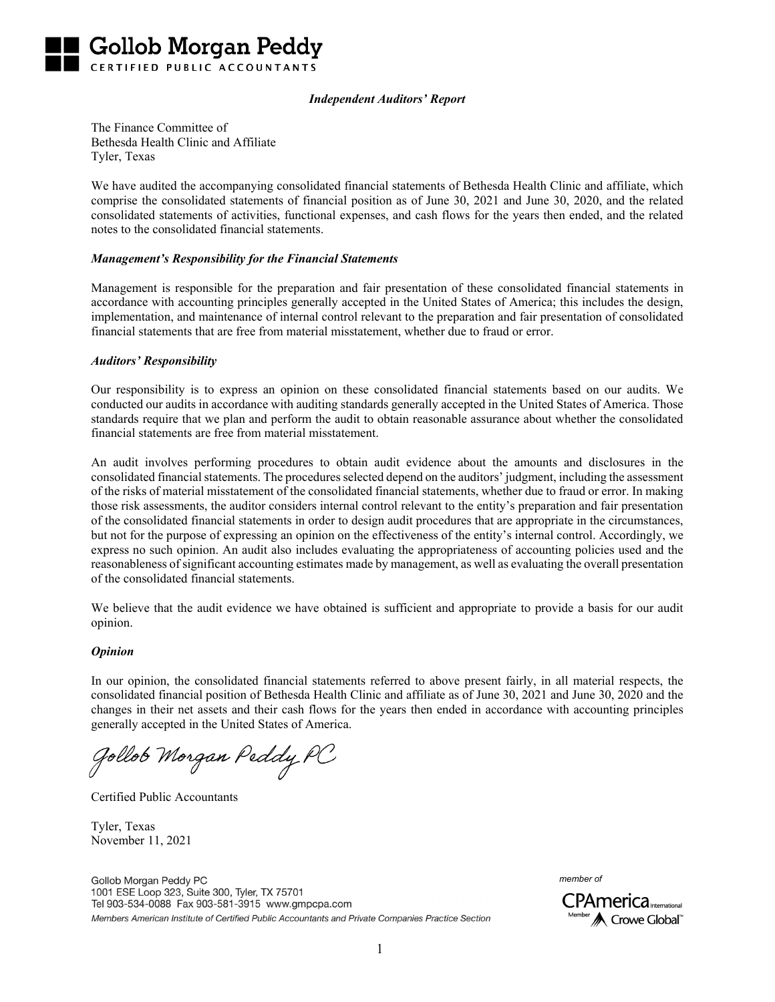

#### *Independent Auditors' Report*

The Finance Committee of Bethesda Health Clinic and Affiliate Tyler, Texas

We have audited the accompanying consolidated financial statements of Bethesda Health Clinic and affiliate, which comprise the consolidated statements of financial position as of June 30, 2021 and June 30, 2020, and the related consolidated statements of activities, functional expenses, and cash flows for the years then ended, and the related notes to the consolidated financial statements.

### *Management's Responsibility for the Financial Statements*

Management is responsible for the preparation and fair presentation of these consolidated financial statements in accordance with accounting principles generally accepted in the United States of America; this includes the design, implementation, and maintenance of internal control relevant to the preparation and fair presentation of consolidated financial statements that are free from material misstatement, whether due to fraud or error.

#### *Auditors' Responsibility*

Our responsibility is to express an opinion on these consolidated financial statements based on our audits. We conducted our audits in accordance with auditing standards generally accepted in the United States of America. Those standards require that we plan and perform the audit to obtain reasonable assurance about whether the consolidated financial statements are free from material misstatement.

An audit involves performing procedures to obtain audit evidence about the amounts and disclosures in the consolidated financial statements. The procedures selected depend on the auditors' judgment, including the assessment of the risks of material misstatement of the consolidated financial statements, whether due to fraud or error. In making those risk assessments, the auditor considers internal control relevant to the entity's preparation and fair presentation of the consolidated financial statements in order to design audit procedures that are appropriate in the circumstances, but not for the purpose of expressing an opinion on the effectiveness of the entity's internal control. Accordingly, we express no such opinion. An audit also includes evaluating the appropriateness of accounting policies used and the reasonableness of significant accounting estimates made by management, as well as evaluating the overall presentation of the consolidated financial statements.

We believe that the audit evidence we have obtained is sufficient and appropriate to provide a basis for our audit opinion.

#### *Opinion*

In our opinion, the consolidated financial statements referred to above present fairly, in all material respects, the consolidated financial position of Bethesda Health Clinic and affiliate as of June 30, 2021 and June 30, 2020 and the changes in their net assets and their cash flows for the years then ended in accordance with accounting principles generally accepted in the United States of America.

Gollob Morgan Peddy PC

Certified Public Accountants

Tyler, Texas November 11, 2021

Gollob Morgan Peddy PC 1001 ESE Loop 323, Suite 300, Tyler, TX 75701 Tel 903-534-0088 Fax 903-581-3915 www.gmpcpa.com Members American Institute of Certified Public Accountants and Private Companies Practice Section  *member of* 

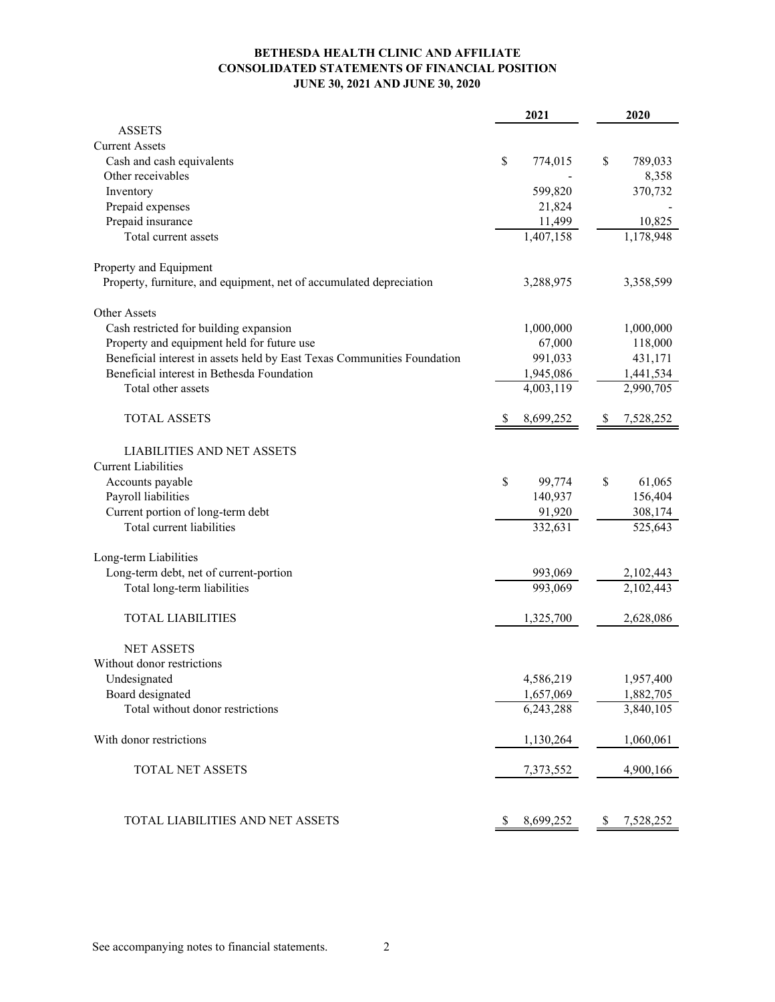# **BETHESDA HEALTH CLINIC AND AFFILIATE CONSOLIDATED STATEMENTS OF FINANCIAL POSITION JUNE 30, 2021 AND JUNE 30, 2020**

|                                                                         | 2021            | 2020            |
|-------------------------------------------------------------------------|-----------------|-----------------|
| <b>ASSETS</b>                                                           |                 |                 |
| <b>Current Assets</b>                                                   |                 |                 |
| Cash and cash equivalents                                               | \$<br>774,015   | \$<br>789,033   |
| Other receivables                                                       |                 | 8,358           |
| Inventory                                                               | 599,820         | 370,732         |
| Prepaid expenses                                                        | 21,824          |                 |
| Prepaid insurance                                                       | 11,499          | 10,825          |
| Total current assets                                                    | 1,407,158       | 1,178,948       |
| Property and Equipment                                                  |                 |                 |
| Property, furniture, and equipment, net of accumulated depreciation     | 3,288,975       | 3,358,599       |
| <b>Other Assets</b>                                                     |                 |                 |
| Cash restricted for building expansion                                  | 1,000,000       | 1,000,000       |
| Property and equipment held for future use                              | 67,000          | 118,000         |
| Beneficial interest in assets held by East Texas Communities Foundation | 991,033         | 431,171         |
| Beneficial interest in Bethesda Foundation                              | 1,945,086       | 1,441,534       |
| Total other assets                                                      | 4,003,119       | 2,990,705       |
| <b>TOTAL ASSETS</b>                                                     | \$<br>8,699,252 | \$<br>7,528,252 |
| <b>LIABILITIES AND NET ASSETS</b>                                       |                 |                 |
| <b>Current Liabilities</b>                                              |                 |                 |
| Accounts payable                                                        | \$<br>99,774    | \$<br>61,065    |
| Payroll liabilities                                                     | 140,937         | 156,404         |
| Current portion of long-term debt                                       | 91,920          | 308,174         |
| Total current liabilities                                               | 332,631         | 525,643         |
| Long-term Liabilities                                                   |                 |                 |
| Long-term debt, net of current-portion                                  | 993,069         | 2,102,443       |
| Total long-term liabilities                                             | 993,069         | 2,102,443       |
| <b>TOTAL LIABILITIES</b>                                                | 1,325,700       | 2,628,086       |
| <b>NET ASSETS</b>                                                       |                 |                 |
| Without donor restrictions                                              |                 |                 |
| Undesignated                                                            | 4,586,219       | 1,957,400       |
| Board designated                                                        | 1,657,069       | 1,882,705       |
| Total without donor restrictions                                        | 6,243,288       | 3,840,105       |
| With donor restrictions                                                 | 1,130,264       | 1,060,061       |
| <b>TOTAL NET ASSETS</b>                                                 | 7,373,552       | 4,900,166       |
| TOTAL LIABILITIES AND NET ASSETS                                        | \$<br>8,699,252 | \$<br>7,528,252 |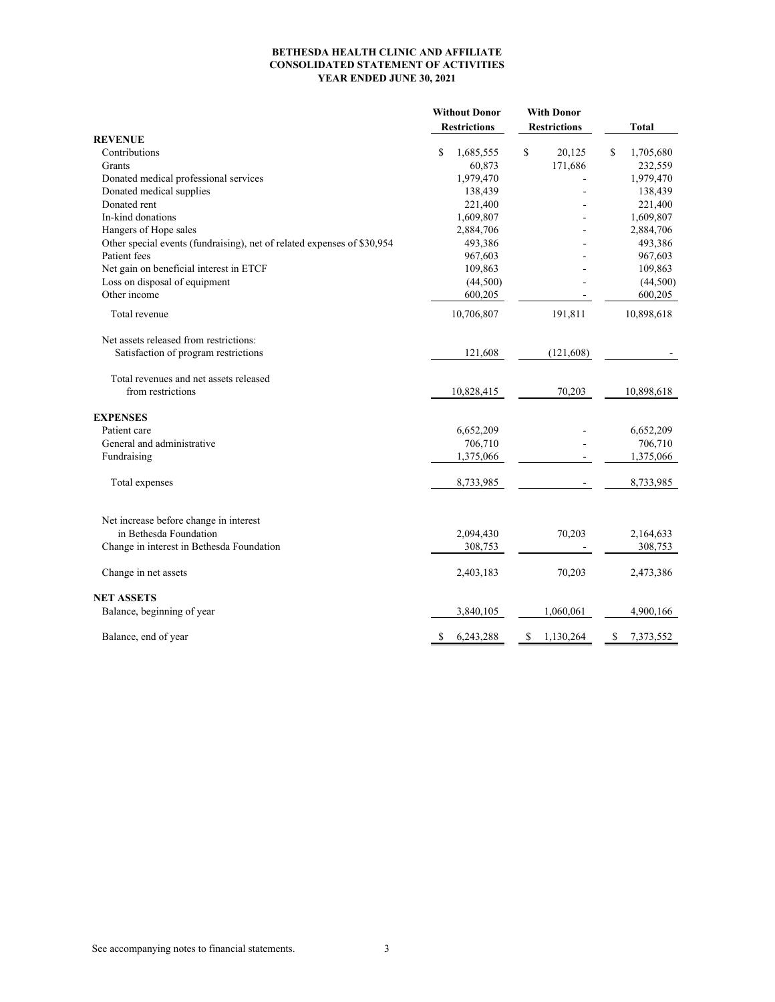#### **BETHESDA HEALTH CLINIC AND AFFILIATE CONSOLIDATED STATEMENT OF ACTIVITIES YEAR ENDED JUNE 30, 2021**

|                                                                         | <b>Without Donor</b> | <b>With Donor</b>   |                 |  |
|-------------------------------------------------------------------------|----------------------|---------------------|-----------------|--|
|                                                                         | <b>Restrictions</b>  | <b>Restrictions</b> | <b>Total</b>    |  |
| <b>REVENUE</b>                                                          |                      |                     |                 |  |
| Contributions                                                           | \$<br>1,685,555      | \$<br>20,125        | \$<br>1,705,680 |  |
| Grants                                                                  | 60,873               | 171,686             | 232,559         |  |
| Donated medical professional services                                   | 1,979,470            |                     | 1,979,470       |  |
| Donated medical supplies                                                | 138,439              |                     | 138,439         |  |
| Donated rent                                                            | 221,400              |                     | 221,400         |  |
| In-kind donations                                                       | 1,609,807            |                     | 1,609,807       |  |
| Hangers of Hope sales                                                   | 2,884,706            |                     | 2,884,706       |  |
| Other special events (fundraising), net of related expenses of \$30,954 | 493,386              |                     | 493,386         |  |
| Patient fees                                                            | 967,603              |                     | 967,603         |  |
| Net gain on beneficial interest in ETCF                                 | 109,863              |                     | 109,863         |  |
| Loss on disposal of equipment                                           | (44,500)             |                     | (44,500)        |  |
| Other income                                                            | 600,205              |                     | 600,205         |  |
| Total revenue                                                           | 10,706,807           | 191,811             | 10,898,618      |  |
| Net assets released from restrictions:                                  |                      |                     |                 |  |
| Satisfaction of program restrictions                                    | 121,608              | (121, 608)          |                 |  |
| Total revenues and net assets released                                  |                      |                     |                 |  |
| from restrictions                                                       | 10,828,415           | 70,203              | 10,898,618      |  |
| <b>EXPENSES</b>                                                         |                      |                     |                 |  |
| Patient care                                                            | 6,652,209            |                     | 6,652,209       |  |
| General and administrative                                              | 706,710              |                     | 706,710         |  |
| Fundraising                                                             | 1,375,066            |                     | 1,375,066       |  |
| Total expenses                                                          | 8,733,985            |                     | 8,733,985       |  |
| Net increase before change in interest                                  |                      |                     |                 |  |
| in Bethesda Foundation                                                  | 2,094,430            | 70,203              | 2,164,633       |  |
| Change in interest in Bethesda Foundation                               | 308,753              |                     | 308,753         |  |
|                                                                         |                      |                     |                 |  |
| Change in net assets                                                    | 2,403,183            | 70,203              | 2,473,386       |  |
| <b>NET ASSETS</b>                                                       |                      |                     |                 |  |
| Balance, beginning of year                                              | 3,840,105            | 1,060,061           | 4,900,166       |  |
| Balance, end of year                                                    | 6,243,288<br>S       | 1,130,264<br>S      | 7,373,552<br>S  |  |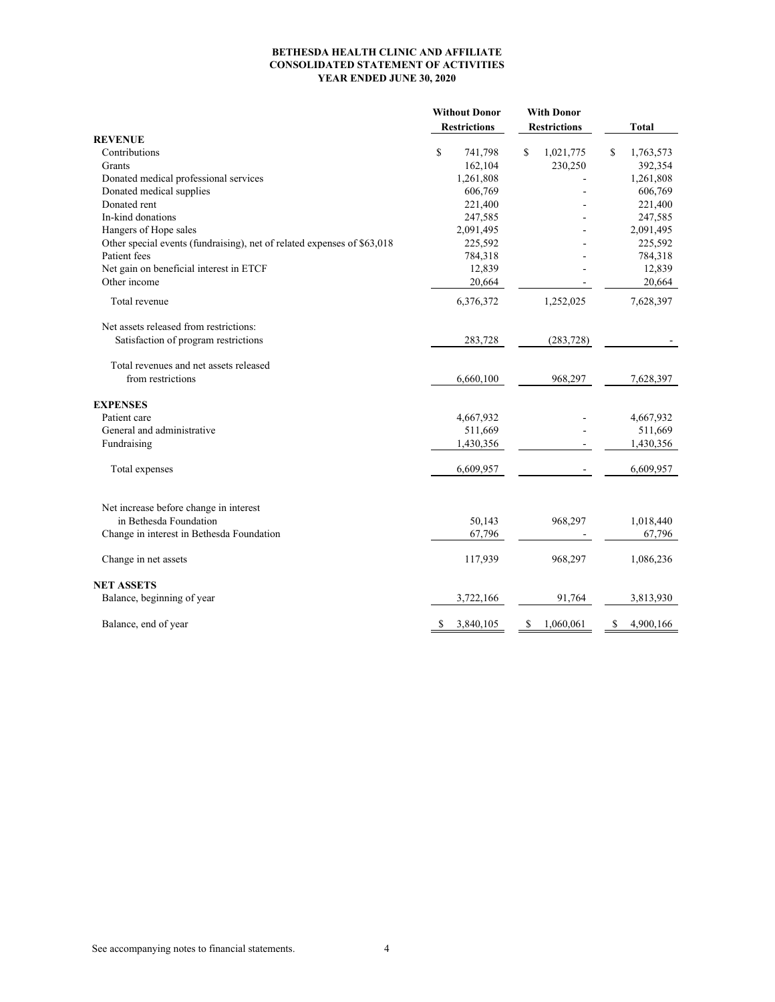#### **BETHESDA HEALTH CLINIC AND AFFILIATE CONSOLIDATED STATEMENT OF ACTIVITIES YEAR ENDED JUNE 30, 2020**

|                                                                         | <b>Without Donor</b> | <b>With Donor</b>   |                 |  |
|-------------------------------------------------------------------------|----------------------|---------------------|-----------------|--|
|                                                                         | <b>Restrictions</b>  | <b>Restrictions</b> | <b>Total</b>    |  |
| <b>REVENUE</b>                                                          |                      |                     |                 |  |
| Contributions                                                           | \$<br>741,798        | \$<br>1,021,775     | \$<br>1,763,573 |  |
| Grants                                                                  | 162,104              | 230,250             | 392,354         |  |
| Donated medical professional services                                   | 1,261,808            |                     | 1,261,808       |  |
| Donated medical supplies                                                | 606,769              |                     | 606,769         |  |
| Donated rent                                                            | 221,400              |                     | 221,400         |  |
| In-kind donations                                                       | 247,585              |                     | 247,585         |  |
| Hangers of Hope sales                                                   | 2,091,495            |                     | 2,091,495       |  |
| Other special events (fundraising), net of related expenses of \$63,018 | 225,592              |                     | 225,592         |  |
| Patient fees                                                            | 784,318              |                     | 784,318         |  |
| Net gain on beneficial interest in ETCF                                 | 12,839               |                     | 12,839          |  |
| Other income                                                            | 20,664               |                     | 20,664          |  |
| Total revenue                                                           | 6,376,372            | 1,252,025           | 7,628,397       |  |
| Net assets released from restrictions:                                  |                      |                     |                 |  |
| Satisfaction of program restrictions                                    | 283,728              | (283, 728)          |                 |  |
| Total revenues and net assets released                                  |                      |                     |                 |  |
| from restrictions                                                       | 6,660,100            | 968,297             | 7,628,397       |  |
| <b>EXPENSES</b>                                                         |                      |                     |                 |  |
| Patient care                                                            | 4,667,932            |                     | 4,667,932       |  |
| General and administrative                                              | 511,669              |                     | 511,669         |  |
| Fundraising                                                             | 1,430,356            |                     | 1,430,356       |  |
| Total expenses                                                          | 6,609,957            |                     | 6,609,957       |  |
| Net increase before change in interest                                  |                      |                     |                 |  |
| in Bethesda Foundation                                                  | 50,143               | 968,297             | 1,018,440       |  |
| Change in interest in Bethesda Foundation                               | 67,796               |                     | 67,796          |  |
|                                                                         |                      |                     |                 |  |
| Change in net assets                                                    | 117,939              | 968,297             | 1,086,236       |  |
| <b>NET ASSETS</b>                                                       |                      |                     |                 |  |
| Balance, beginning of year                                              | 3,722,166            | 91,764              | 3,813,930       |  |
| Balance, end of year                                                    | \$<br>3,840,105      | S<br>1,060,061      | \$<br>4,900,166 |  |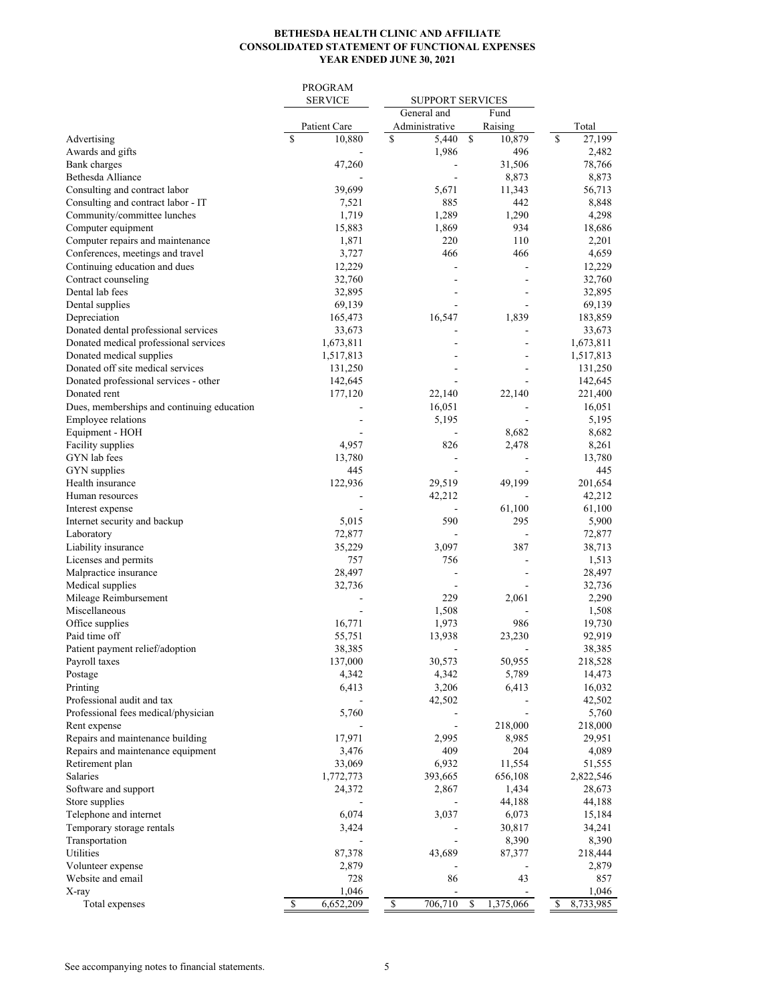#### **BETHESDA HEALTH CLINIC AND AFFILIATE CONSOLIDATED STATEMENT OF FUNCTIONAL EXPENSES YEAR ENDED JUNE 30, 2021**

|                                                       | <b>PROGRAM</b><br><b>SERVICE</b> | <b>SUPPORT SERVICES</b> |                                           |                       |
|-------------------------------------------------------|----------------------------------|-------------------------|-------------------------------------------|-----------------------|
|                                                       |                                  | General and             | Fund                                      |                       |
|                                                       | Patient Care                     | Administrative          | Raising                                   | Total                 |
| Advertising                                           | <sup>\$</sup><br>10,880          | \$<br>5,440             | $\overline{\mathcal{S}}$<br>10,879<br>496 | \$<br>27,199<br>2,482 |
| Awards and gifts<br>Bank charges                      | 47,260                           | 1,986                   | 31,506                                    | 78,766                |
| Bethesda Alliance                                     |                                  |                         | 8,873                                     | 8,873                 |
| Consulting and contract labor                         | 39,699                           | 5,671                   | 11,343                                    | 56,713                |
| Consulting and contract labor - IT                    | 7,521                            | 885                     | 442                                       | 8,848                 |
| Community/committee lunches                           | 1,719                            | 1,289                   | 1,290                                     | 4,298                 |
| Computer equipment                                    | 15,883                           | 1,869                   | 934                                       | 18,686                |
| Computer repairs and maintenance                      | 1,871                            | 220                     | 110                                       | 2,201                 |
| Conferences, meetings and travel                      | 3,727                            | 466                     | 466                                       | 4,659                 |
| Continuing education and dues                         | 12,229                           |                         |                                           | 12,229                |
| Contract counseling                                   | 32,760                           |                         |                                           | 32,760                |
| Dental lab fees                                       | 32,895                           |                         |                                           | 32,895                |
| Dental supplies                                       | 69,139                           |                         |                                           | 69,139                |
| Depreciation                                          | 165,473                          | 16,547                  | 1,839                                     | 183,859               |
| Donated dental professional services                  | 33,673                           |                         |                                           | 33,673                |
| Donated medical professional services                 | 1,673,811                        |                         |                                           | 1,673,811             |
| Donated medical supplies                              | 1,517,813                        |                         |                                           | 1,517,813             |
| Donated off site medical services                     | 131,250                          |                         |                                           | 131,250               |
| Donated professional services - other<br>Donated rent | 142,645<br>177,120               | 22,140                  | 22,140                                    | 142,645<br>221,400    |
| Dues, memberships and continuing education            |                                  | 16,051                  |                                           | 16,051                |
| Employee relations                                    |                                  | 5,195                   |                                           | 5,195                 |
| Equipment - HOH                                       |                                  |                         | 8,682                                     | 8,682                 |
| Facility supplies                                     | 4,957                            | 826                     | 2,478                                     | 8,261                 |
| GYN lab fees                                          | 13,780                           |                         |                                           | 13,780                |
| GYN supplies                                          | 445                              | L.                      |                                           | 445                   |
| Health insurance                                      | 122,936                          | 29,519                  | 49,199                                    | 201,654               |
| Human resources                                       |                                  | 42,212                  |                                           | 42,212                |
| Interest expense                                      |                                  |                         | 61,100                                    | 61,100                |
| Internet security and backup                          | 5,015                            | 590                     | 295                                       | 5,900                 |
| Laboratory                                            | 72,877                           |                         |                                           | 72,877                |
| Liability insurance                                   | 35,229                           | 3,097                   | 387                                       | 38,713                |
| Licenses and permits                                  | 757                              | 756                     | $\overline{a}$                            | 1,513                 |
| Malpractice insurance                                 | 28,497                           |                         |                                           | 28,497                |
| Medical supplies<br>Mileage Reimbursement             | 32,736                           | 229                     | 2,061                                     | 32,736<br>2,290       |
| Miscellaneous                                         |                                  | 1,508                   | ÷                                         | 1,508                 |
| Office supplies                                       | 16,771                           | 1,973                   | 986                                       | 19,730                |
| Paid time off                                         | 55,751                           | 13,938                  | 23,230                                    | 92,919                |
| Patient payment relief/adoption                       | 38,385                           |                         |                                           | 38,385                |
| Payroll taxes                                         | 137,000                          | 30,573                  | 50,955                                    | 218,528               |
| Postage                                               | 4,342                            | 4,342                   | 5,789                                     | 14,473                |
| Printing                                              | 6,413                            | 3,206                   | 6,413                                     | 16,032                |
| Professional audit and tax                            |                                  | 42,502                  |                                           | 42,502                |
| Professional fees medical/physician                   | 5,760                            |                         |                                           | 5,760                 |
| Rent expense                                          |                                  |                         | 218,000                                   | 218,000               |
| Repairs and maintenance building                      | 17,971                           | 2,995                   | 8,985                                     | 29,951                |
| Repairs and maintenance equipment                     | 3,476                            | 409                     | 204                                       | 4,089                 |
| Retirement plan                                       | 33,069                           | 6,932                   | 11,554                                    | 51,555                |
| Salaries                                              | 1,772,773                        | 393,665                 | 656,108                                   | 2,822,546             |
| Software and support                                  | 24,372                           | 2,867                   | 1,434                                     | 28,673                |
| Store supplies                                        |                                  |                         | 44,188                                    | 44,188                |
| Telephone and internet                                | 6,074                            | 3,037                   | 6,073                                     | 15,184                |
| Temporary storage rentals<br>Transportation           | 3,424                            |                         | 30,817<br>8,390                           | 34,241<br>8,390       |
| Utilities                                             | 87,378                           | 43,689                  | 87,377                                    | 218,444               |
| Volunteer expense                                     | 2,879                            |                         |                                           | 2,879                 |
| Website and email                                     | 728                              | 86                      | 43                                        | 857                   |
| X-ray                                                 | 1,046                            |                         |                                           | 1,046                 |
| Total expenses                                        | 6,652,209<br>\$                  | \$<br>706,710           | 1,375,066<br>S                            | \$<br>8,733,985       |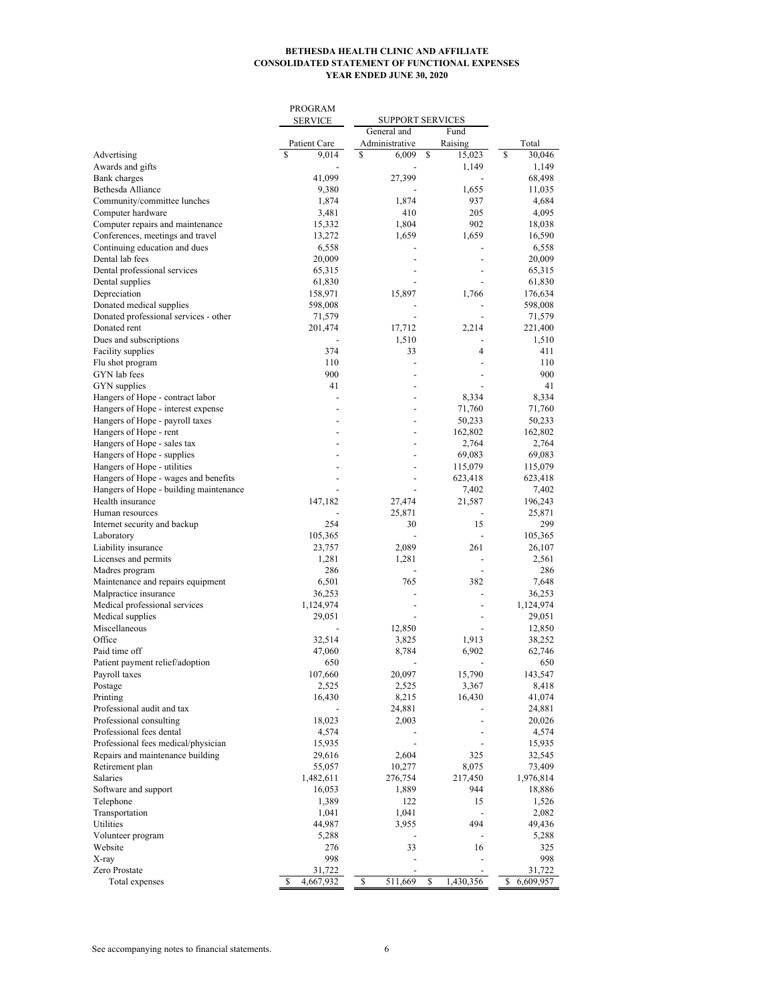#### **BETHESDA HEALTH CLINIC AND AFFILIATE CONSOLIDATED STATEMENT OF FUNCTIONAL EXPENSES YEAR ENDED JUNE 30, 2020**

|                                                                       | PROGRAM<br><b>SERVICE</b> | <b>SUPPORT SERVICES</b> |                      |                       |
|-----------------------------------------------------------------------|---------------------------|-------------------------|----------------------|-----------------------|
|                                                                       |                           | General and             | Fund                 |                       |
|                                                                       | Patient Care              | Administrative          | Raising              | Total                 |
| Advertising<br>Awards and gifts                                       | \$<br>9,014               | \$<br>6,009             | S<br>15,023<br>1,149 | \$<br>30,046<br>1,149 |
| Bank charges                                                          | 41,099                    | 27,399                  |                      | 68,498                |
| Bethesda Alliance                                                     | 9,380                     |                         | 1,655                | 11,035                |
| Community/committee lunches                                           | 1,874                     | 1,874                   | 937                  | 4,684                 |
| Computer hardware                                                     | 3,481                     | 410                     | 205                  | 4,095                 |
| Computer repairs and maintenance                                      | 15,332                    | 1,804                   | 902                  | 18,038                |
| Conferences, meetings and travel                                      | 13,272                    | 1,659                   | 1,659                | 16,590                |
| Continuing education and dues                                         | 6,558                     |                         |                      | 6,558                 |
| Dental lab fees                                                       | 20,009                    |                         |                      | 20,009                |
| Dental professional services                                          | 65,315                    |                         |                      | 65,315                |
| Dental supplies<br>Depreciation                                       | 61,830                    | 15,897                  | 1,766                | 61,830<br>176,634     |
| Donated medical supplies                                              | 158,971<br>598,008        |                         |                      | 598,008               |
| Donated professional services - other                                 | 71,579                    |                         |                      | 71,579                |
| Donated rent                                                          | 201,474                   | 17,712                  | 2,214                | 221,400               |
| Dues and subscriptions                                                |                           | 1,510                   |                      | 1,510                 |
| Facility supplies                                                     | 374                       | 33                      | 4                    | 411                   |
| Flu shot program                                                      | 110                       |                         |                      | 110                   |
| GYN lab fees                                                          | 900                       |                         |                      | 900                   |
| GYN supplies                                                          | 41                        |                         |                      | 41                    |
| Hangers of Hope - contract labor                                      |                           |                         | 8,334                | 8,334                 |
| Hangers of Hope - interest expense<br>Hangers of Hope - payroll taxes |                           |                         | 71,760<br>50,233     | 71,760<br>50,233      |
| Hangers of Hope - rent                                                |                           |                         | 162,802              | 162,802               |
| Hangers of Hope - sales tax                                           |                           |                         | 2,764                | 2,764                 |
| Hangers of Hope - supplies                                            |                           |                         | 69,083               | 69,083                |
| Hangers of Hope - utilities                                           |                           |                         | 115,079              | 115,079               |
| Hangers of Hope - wages and benefits                                  |                           |                         | 623,418              | 623,418               |
| Hangers of Hope - building maintenance                                |                           |                         | 7,402                | 7,402                 |
| Health insurance                                                      | 147,182                   | 27,474                  | 21,587               | 196,243               |
| Human resources                                                       |                           | 25,871                  |                      | 25,871                |
| Internet security and backup                                          | 254                       | 30                      | 15                   | 299                   |
| Laboratory<br>Liability insurance                                     | 105,365                   | 2,089                   | 261                  | 105,365<br>26,107     |
| Licenses and permits                                                  | 23,757<br>1,281           | 1,281                   |                      | 2,561                 |
| Madres program                                                        | 286                       |                         |                      | 286                   |
| Maintenance and repairs equipment                                     | 6,501                     | 765                     | 382                  | 7,648                 |
| Malpractice insurance                                                 | 36,253                    |                         |                      | 36,253                |
| Medical professional services                                         | 1,124,974                 |                         |                      | 1,124,974             |
| Medical supplies                                                      | 29,051                    |                         |                      | 29,051                |
| Miscellaneous                                                         |                           | 12,850                  |                      | 12,850                |
| Office                                                                | 32,514                    | 3,825                   | 1,913                | 38,252                |
| Paid time off                                                         | 47,060                    | 8,784                   | 6,902                | 62,746                |
| Patient payment relief/adoption<br>Payroll taxes                      | 650<br>107,660            | 20,097                  | -<br>15,790          | 650<br>143,547        |
| Postage                                                               | 2,525                     | 2,525                   | 3,367                | 8,418                 |
| Printing                                                              | 16,430                    | 8,215                   | 16,430               | 41,074                |
| Professional audit and tax                                            |                           | 24,881                  |                      | 24,881                |
| Professional consulting                                               | 18,023                    | 2,003                   |                      | 20,026                |
| Professional fees dental                                              | 4,574                     |                         |                      | 4,574                 |
| Professional fees medical/physician                                   | 15,935                    |                         |                      | 15,935                |
| Repairs and maintenance building                                      | 29,616                    | 2,604                   | 325                  | 32,545                |
| Retirement plan                                                       | 55,057                    | 10,277                  | 8,075                | 73,409                |
| Salaries                                                              | 1,482,611                 | 276,754                 | 217,450<br>944       | 1,976,814             |
| Software and support<br>Telephone                                     | 16,053<br>1,389           | 1,889<br>122            | 15                   | 18,886<br>1,526       |
| Transportation                                                        | 1,041                     | 1,041                   |                      | 2,082                 |
| Utilities                                                             | 44,987                    | 3,955                   | 494                  | 49,436                |
| Volunteer program                                                     | 5,288                     |                         | L,                   | 5,288                 |
| Website                                                               | 276                       | 33                      | 16                   | 325                   |
| X-ray                                                                 | 998                       |                         |                      | 998                   |
| Zero Prostate                                                         | 31,722                    |                         |                      | 31,722                |
| Total expenses                                                        | \$<br>4,667,932           | 511,669<br>\$           | 1,430,356<br>\$      | \$<br>6,609,957       |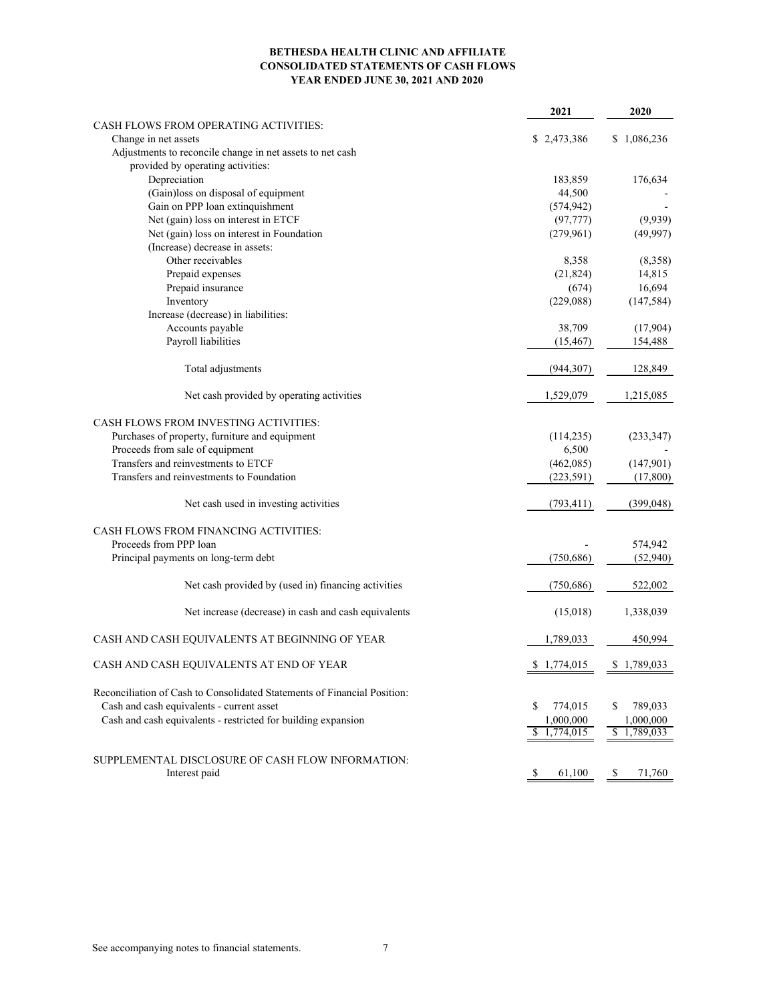#### **BETHESDA HEALTH CLINIC AND AFFILIATE CONSOLIDATED STATEMENTS OF CASH FLOWS YEAR ENDED JUNE 30, 2021 AND 2020**

|                                                                          | 2021          | 2020                   |
|--------------------------------------------------------------------------|---------------|------------------------|
| CASH FLOWS FROM OPERATING ACTIVITIES:                                    |               |                        |
| Change in net assets                                                     | \$2,473,386   | \$1,086,236            |
| Adjustments to reconcile change in net assets to net cash                |               |                        |
| provided by operating activities:                                        |               |                        |
| Depreciation                                                             | 183,859       | 176,634                |
| (Gain)loss on disposal of equipment                                      | 44,500        |                        |
| Gain on PPP loan extinquishment                                          | (574, 942)    |                        |
| Net (gain) loss on interest in ETCF                                      | (97, 777)     | (9,939)                |
| Net (gain) loss on interest in Foundation                                | (279,961)     | (49,997)               |
| (Increase) decrease in assets:                                           |               |                        |
| Other receivables                                                        | 8,358         | (8,358)                |
| Prepaid expenses                                                         | (21, 824)     | 14,815                 |
| Prepaid insurance                                                        | (674)         | 16,694                 |
| Inventory                                                                | (229,088)     | (147, 584)             |
| Increase (decrease) in liabilities:                                      |               |                        |
| Accounts payable                                                         | 38,709        | (17,904)               |
| Payroll liabilities                                                      | (15, 467)     | 154,488                |
| Total adjustments                                                        | (944, 307)    | 128,849                |
| Net cash provided by operating activities                                | 1,529,079     | 1,215,085              |
| CASH FLOWS FROM INVESTING ACTIVITIES:                                    |               |                        |
| Purchases of property, furniture and equipment                           | (114, 235)    | (233, 347)             |
| Proceeds from sale of equipment                                          | 6,500         |                        |
| Transfers and reinvestments to ETCF                                      | (462,085)     | (147, 901)             |
| Transfers and reinvestments to Foundation                                | (223, 591)    | (17,800)               |
| Net cash used in investing activities                                    | (793, 411)    | (399, 048)             |
| CASH FLOWS FROM FINANCING ACTIVITIES:                                    |               |                        |
| Proceeds from PPP loan                                                   |               | 574,942                |
| Principal payments on long-term debt                                     | (750, 686)    | (52,940)               |
| Net cash provided by (used in) financing activities                      | (750,686)     | 522,002                |
| Net increase (decrease) in cash and cash equivalents                     | (15,018)      | 1,338,039              |
| CASH AND CASH EQUIVALENTS AT BEGINNING OF YEAR                           | 1,789,033     | 450,994                |
| CASH AND CASH EQUIVALENTS AT END OF YEAR                                 | \$1,774,015   | \$1,789,033            |
| Reconciliation of Cash to Consolidated Statements of Financial Position: |               |                        |
| Cash and cash equivalents - current asset                                | \$<br>774,015 | \$<br>789,033          |
| Cash and cash equivalents - restricted for building expansion            | 1,000,000     | 1,000,000              |
|                                                                          | \$1,774,015   | \$<br>1,789,033        |
| SUPPLEMENTAL DISCLOSURE OF CASH FLOW INFORMATION:                        |               |                        |
| Interest paid                                                            | \$<br>61,100  | $\mathbb{S}$<br>71,760 |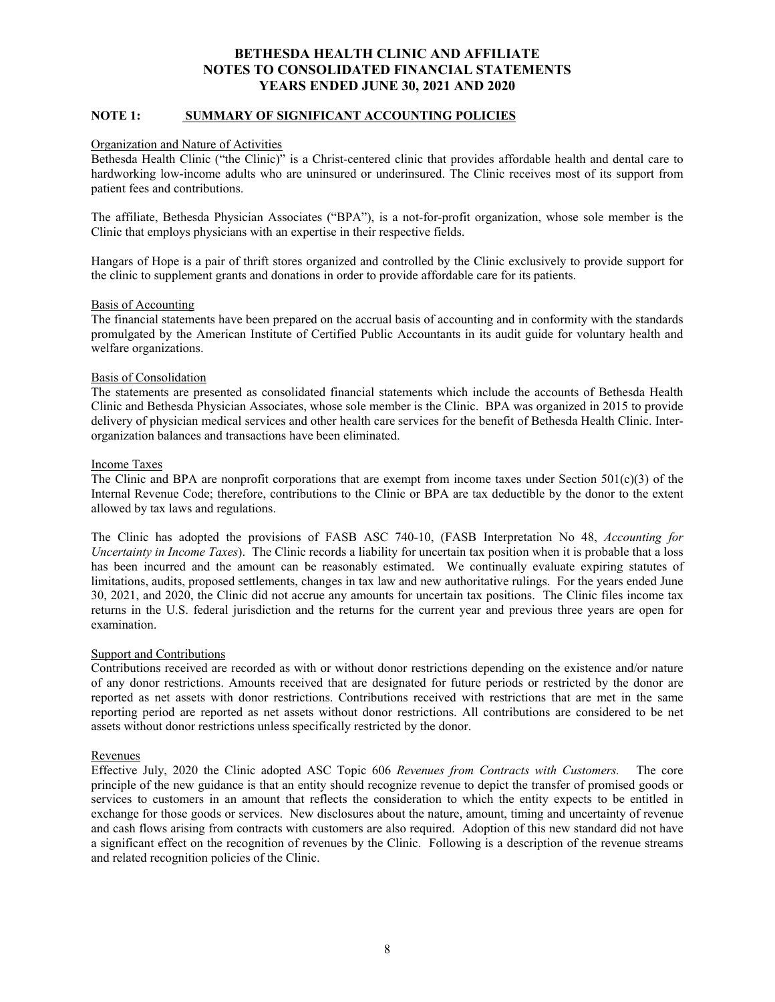### **NOTE 1: SUMMARY OF SIGNIFICANT ACCOUNTING POLICIES**

#### Organization and Nature of Activities

Bethesda Health Clinic ("the Clinic)" is a Christ-centered clinic that provides affordable health and dental care to hardworking low-income adults who are uninsured or underinsured. The Clinic receives most of its support from patient fees and contributions.

The affiliate, Bethesda Physician Associates ("BPA"), is a not-for-profit organization, whose sole member is the Clinic that employs physicians with an expertise in their respective fields.

Hangars of Hope is a pair of thrift stores organized and controlled by the Clinic exclusively to provide support for the clinic to supplement grants and donations in order to provide affordable care for its patients.

#### Basis of Accounting

The financial statements have been prepared on the accrual basis of accounting and in conformity with the standards promulgated by the American Institute of Certified Public Accountants in its audit guide for voluntary health and welfare organizations.

#### Basis of Consolidation

The statements are presented as consolidated financial statements which include the accounts of Bethesda Health Clinic and Bethesda Physician Associates, whose sole member is the Clinic. BPA was organized in 2015 to provide delivery of physician medical services and other health care services for the benefit of Bethesda Health Clinic. Interorganization balances and transactions have been eliminated.

#### Income Taxes

The Clinic and BPA are nonprofit corporations that are exempt from income taxes under Section  $501(c)(3)$  of the Internal Revenue Code; therefore, contributions to the Clinic or BPA are tax deductible by the donor to the extent allowed by tax laws and regulations.

The Clinic has adopted the provisions of FASB ASC 740-10, (FASB Interpretation No 48, *Accounting for Uncertainty in Income Taxes*). The Clinic records a liability for uncertain tax position when it is probable that a loss has been incurred and the amount can be reasonably estimated. We continually evaluate expiring statutes of limitations, audits, proposed settlements, changes in tax law and new authoritative rulings. For the years ended June 30, 2021, and 2020, the Clinic did not accrue any amounts for uncertain tax positions. The Clinic files income tax returns in the U.S. federal jurisdiction and the returns for the current year and previous three years are open for examination.

#### Support and Contributions

Contributions received are recorded as with or without donor restrictions depending on the existence and/or nature of any donor restrictions. Amounts received that are designated for future periods or restricted by the donor are reported as net assets with donor restrictions. Contributions received with restrictions that are met in the same reporting period are reported as net assets without donor restrictions. All contributions are considered to be net assets without donor restrictions unless specifically restricted by the donor.

#### Revenues

Effective July, 2020 the Clinic adopted ASC Topic 606 *Revenues from Contracts with Customers.* The core principle of the new guidance is that an entity should recognize revenue to depict the transfer of promised goods or services to customers in an amount that reflects the consideration to which the entity expects to be entitled in exchange for those goods or services. New disclosures about the nature, amount, timing and uncertainty of revenue and cash flows arising from contracts with customers are also required. Adoption of this new standard did not have a significant effect on the recognition of revenues by the Clinic. Following is a description of the revenue streams and related recognition policies of the Clinic.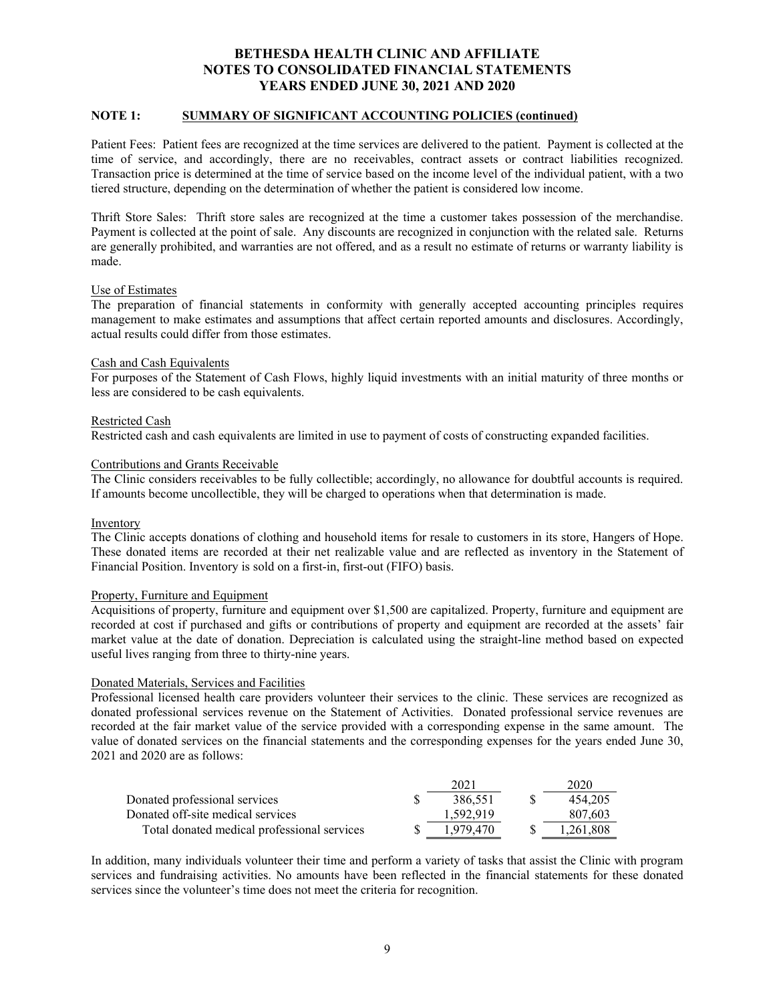### **NOTE 1: SUMMARY OF SIGNIFICANT ACCOUNTING POLICIES (continued)**

Patient Fees: Patient fees are recognized at the time services are delivered to the patient. Payment is collected at the time of service, and accordingly, there are no receivables, contract assets or contract liabilities recognized. Transaction price is determined at the time of service based on the income level of the individual patient, with a two tiered structure, depending on the determination of whether the patient is considered low income.

Thrift Store Sales: Thrift store sales are recognized at the time a customer takes possession of the merchandise. Payment is collected at the point of sale. Any discounts are recognized in conjunction with the related sale. Returns are generally prohibited, and warranties are not offered, and as a result no estimate of returns or warranty liability is made.

#### Use of Estimates

The preparation of financial statements in conformity with generally accepted accounting principles requires management to make estimates and assumptions that affect certain reported amounts and disclosures. Accordingly, actual results could differ from those estimates.

#### Cash and Cash Equivalents

For purposes of the Statement of Cash Flows, highly liquid investments with an initial maturity of three months or less are considered to be cash equivalents.

### Restricted Cash

Restricted cash and cash equivalents are limited in use to payment of costs of constructing expanded facilities.

#### Contributions and Grants Receivable

The Clinic considers receivables to be fully collectible; accordingly, no allowance for doubtful accounts is required. If amounts become uncollectible, they will be charged to operations when that determination is made.

#### Inventory

The Clinic accepts donations of clothing and household items for resale to customers in its store, Hangers of Hope. These donated items are recorded at their net realizable value and are reflected as inventory in the Statement of Financial Position. Inventory is sold on a first-in, first-out (FIFO) basis.

#### Property, Furniture and Equipment

Acquisitions of property, furniture and equipment over \$1,500 are capitalized. Property, furniture and equipment are recorded at cost if purchased and gifts or contributions of property and equipment are recorded at the assets' fair market value at the date of donation. Depreciation is calculated using the straight-line method based on expected useful lives ranging from three to thirty-nine years.

#### Donated Materials, Services and Facilities

Professional licensed health care providers volunteer their services to the clinic. These services are recognized as donated professional services revenue on the Statement of Activities. Donated professional service revenues are recorded at the fair market value of the service provided with a corresponding expense in the same amount. The value of donated services on the financial statements and the corresponding expenses for the years ended June 30, 2021 and 2020 are as follows:

|                                             | 2021      | 2020      |
|---------------------------------------------|-----------|-----------|
| Donated professional services               | 386.551   | 454,205   |
| Donated off-site medical services           | 1.592.919 | 807,603   |
| Total donated medical professional services | 1979470   | 1.261.808 |

In addition, many individuals volunteer their time and perform a variety of tasks that assist the Clinic with program services and fundraising activities. No amounts have been reflected in the financial statements for these donated services since the volunteer's time does not meet the criteria for recognition.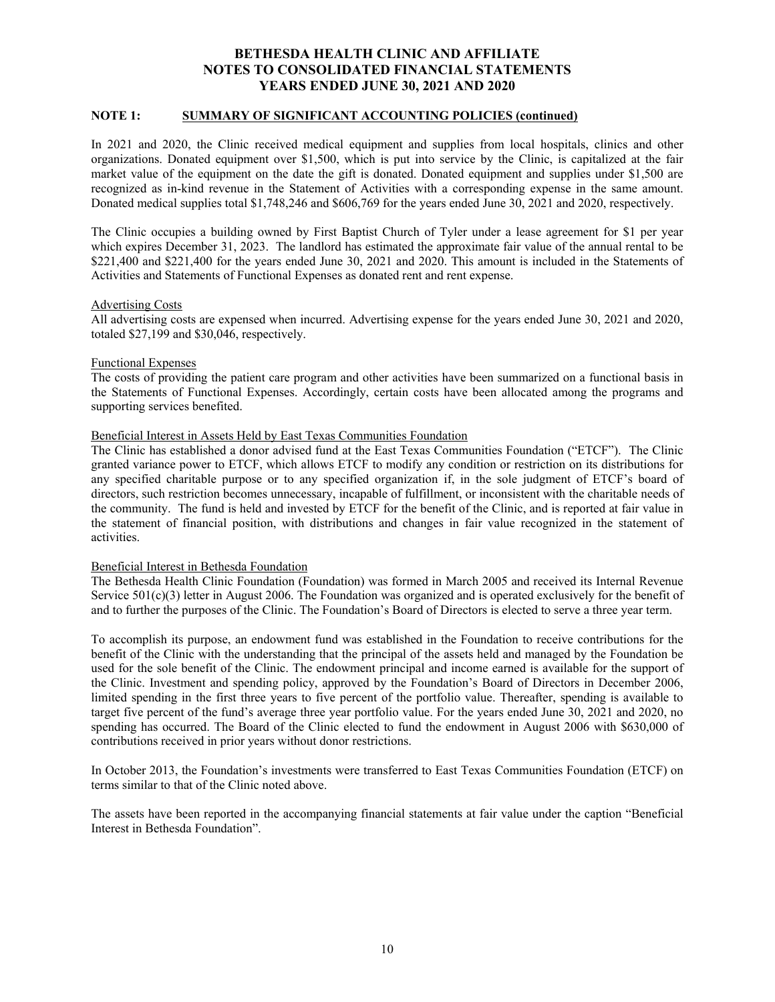### **NOTE 1: SUMMARY OF SIGNIFICANT ACCOUNTING POLICIES (continued)**

In 2021 and 2020, the Clinic received medical equipment and supplies from local hospitals, clinics and other organizations. Donated equipment over \$1,500, which is put into service by the Clinic, is capitalized at the fair market value of the equipment on the date the gift is donated. Donated equipment and supplies under \$1,500 are recognized as in-kind revenue in the Statement of Activities with a corresponding expense in the same amount. Donated medical supplies total \$1,748,246 and \$606,769 for the years ended June 30, 2021 and 2020, respectively.

The Clinic occupies a building owned by First Baptist Church of Tyler under a lease agreement for \$1 per year which expires December 31, 2023. The landlord has estimated the approximate fair value of the annual rental to be \$221,400 and \$221,400 for the years ended June 30, 2021 and 2020. This amount is included in the Statements of Activities and Statements of Functional Expenses as donated rent and rent expense.

#### Advertising Costs

All advertising costs are expensed when incurred. Advertising expense for the years ended June 30, 2021 and 2020, totaled \$27,199 and \$30,046, respectively.

#### Functional Expenses

The costs of providing the patient care program and other activities have been summarized on a functional basis in the Statements of Functional Expenses. Accordingly, certain costs have been allocated among the programs and supporting services benefited.

#### Beneficial Interest in Assets Held by East Texas Communities Foundation

The Clinic has established a donor advised fund at the East Texas Communities Foundation ("ETCF"). The Clinic granted variance power to ETCF, which allows ETCF to modify any condition or restriction on its distributions for any specified charitable purpose or to any specified organization if, in the sole judgment of ETCF's board of directors, such restriction becomes unnecessary, incapable of fulfillment, or inconsistent with the charitable needs of the community. The fund is held and invested by ETCF for the benefit of the Clinic, and is reported at fair value in the statement of financial position, with distributions and changes in fair value recognized in the statement of activities.

#### Beneficial Interest in Bethesda Foundation

The Bethesda Health Clinic Foundation (Foundation) was formed in March 2005 and received its Internal Revenue Service 501(c)(3) letter in August 2006. The Foundation was organized and is operated exclusively for the benefit of and to further the purposes of the Clinic. The Foundation's Board of Directors is elected to serve a three year term.

To accomplish its purpose, an endowment fund was established in the Foundation to receive contributions for the benefit of the Clinic with the understanding that the principal of the assets held and managed by the Foundation be used for the sole benefit of the Clinic. The endowment principal and income earned is available for the support of the Clinic. Investment and spending policy, approved by the Foundation's Board of Directors in December 2006, limited spending in the first three years to five percent of the portfolio value. Thereafter, spending is available to target five percent of the fund's average three year portfolio value. For the years ended June 30, 2021 and 2020, no spending has occurred. The Board of the Clinic elected to fund the endowment in August 2006 with \$630,000 of contributions received in prior years without donor restrictions.

In October 2013, the Foundation's investments were transferred to East Texas Communities Foundation (ETCF) on terms similar to that of the Clinic noted above.

The assets have been reported in the accompanying financial statements at fair value under the caption "Beneficial Interest in Bethesda Foundation".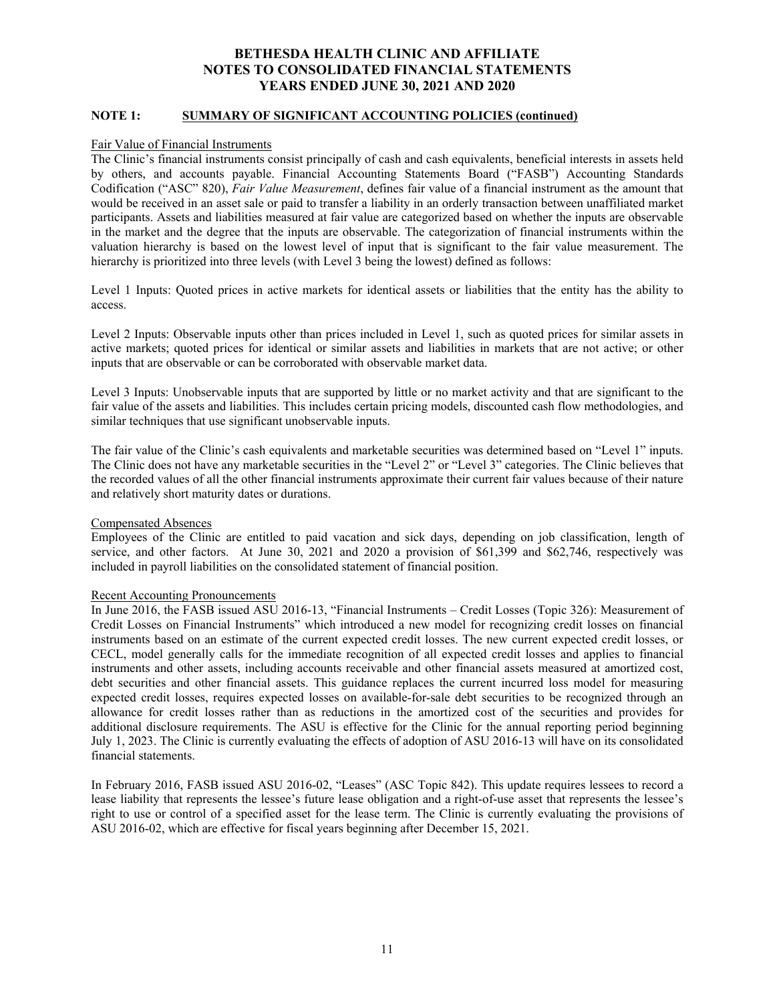### **NOTE 1: SUMMARY OF SIGNIFICANT ACCOUNTING POLICIES (continued)**

### Fair Value of Financial Instruments

The Clinic's financial instruments consist principally of cash and cash equivalents, beneficial interests in assets held by others, and accounts payable. Financial Accounting Statements Board ("FASB") Accounting Standards Codification ("ASC" 820), *Fair Value Measurement*, defines fair value of a financial instrument as the amount that would be received in an asset sale or paid to transfer a liability in an orderly transaction between unaffiliated market participants. Assets and liabilities measured at fair value are categorized based on whether the inputs are observable in the market and the degree that the inputs are observable. The categorization of financial instruments within the valuation hierarchy is based on the lowest level of input that is significant to the fair value measurement. The hierarchy is prioritized into three levels (with Level 3 being the lowest) defined as follows:

Level 1 Inputs: Quoted prices in active markets for identical assets or liabilities that the entity has the ability to access.

Level 2 Inputs: Observable inputs other than prices included in Level 1, such as quoted prices for similar assets in active markets; quoted prices for identical or similar assets and liabilities in markets that are not active; or other inputs that are observable or can be corroborated with observable market data.

Level 3 Inputs: Unobservable inputs that are supported by little or no market activity and that are significant to the fair value of the assets and liabilities. This includes certain pricing models, discounted cash flow methodologies, and similar techniques that use significant unobservable inputs.

The fair value of the Clinic's cash equivalents and marketable securities was determined based on "Level 1" inputs. The Clinic does not have any marketable securities in the "Level 2" or "Level 3" categories. The Clinic believes that the recorded values of all the other financial instruments approximate their current fair values because of their nature and relatively short maturity dates or durations.

#### Compensated Absences

Employees of the Clinic are entitled to paid vacation and sick days, depending on job classification, length of service, and other factors. At June 30, 2021 and 2020 a provision of \$61,399 and \$62,746, respectively was included in payroll liabilities on the consolidated statement of financial position.

#### Recent Accounting Pronouncements

In June 2016, the FASB issued ASU 2016-13, "Financial Instruments – Credit Losses (Topic 326): Measurement of Credit Losses on Financial Instruments" which introduced a new model for recognizing credit losses on financial instruments based on an estimate of the current expected credit losses. The new current expected credit losses, or CECL, model generally calls for the immediate recognition of all expected credit losses and applies to financial instruments and other assets, including accounts receivable and other financial assets measured at amortized cost, debt securities and other financial assets. This guidance replaces the current incurred loss model for measuring expected credit losses, requires expected losses on available-for-sale debt securities to be recognized through an allowance for credit losses rather than as reductions in the amortized cost of the securities and provides for additional disclosure requirements. The ASU is effective for the Clinic for the annual reporting period beginning July 1, 2023. The Clinic is currently evaluating the effects of adoption of ASU 2016-13 will have on its consolidated financial statements.

In February 2016, FASB issued ASU 2016-02, "Leases" (ASC Topic 842). This update requires lessees to record a lease liability that represents the lessee's future lease obligation and a right-of-use asset that represents the lessee's right to use or control of a specified asset for the lease term. The Clinic is currently evaluating the provisions of ASU 2016-02, which are effective for fiscal years beginning after December 15, 2021.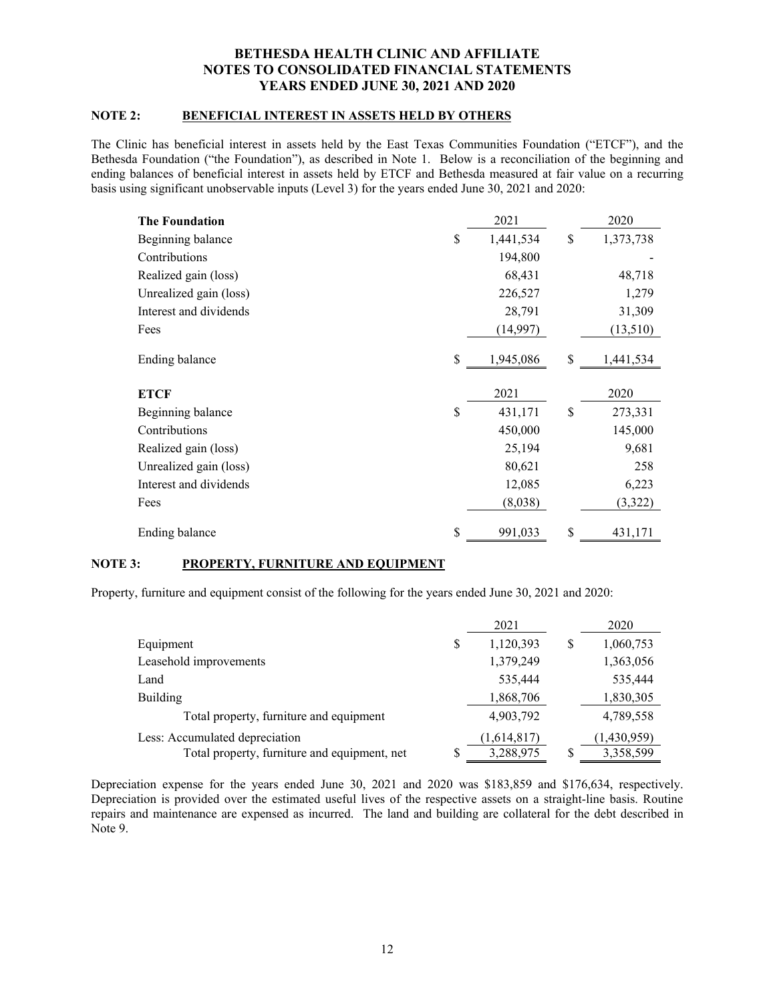### **NOTE 2: BENEFICIAL INTEREST IN ASSETS HELD BY OTHERS**

The Clinic has beneficial interest in assets held by the East Texas Communities Foundation ("ETCF"), and the Bethesda Foundation ("the Foundation"), as described in Note 1. Below is a reconciliation of the beginning and ending balances of beneficial interest in assets held by ETCF and Bethesda measured at fair value on a recurring basis using significant unobservable inputs (Level 3) for the years ended June 30, 2021 and 2020:

| <b>The Foundation</b>  | 2021            | 2020            |
|------------------------|-----------------|-----------------|
| Beginning balance      | \$<br>1,441,534 | \$<br>1,373,738 |
| Contributions          | 194,800         |                 |
| Realized gain (loss)   | 68,431          | 48,718          |
| Unrealized gain (loss) | 226,527         | 1,279           |
| Interest and dividends | 28,791          | 31,309          |
| Fees                   | (14, 997)       | (13,510)        |
| Ending balance         | \$<br>1,945,086 | \$<br>1,441,534 |
| <b>ETCF</b>            | 2021            | 2020            |
| Beginning balance      | \$<br>431,171   | \$<br>273,331   |
| Contributions          | 450,000         | 145,000         |
| Realized gain (loss)   | 25,194          | 9,681           |
| Unrealized gain (loss) | 80,621          | 258             |
| Interest and dividends | 12,085          | 6,223           |
| Fees                   | (8,038)         | (3,322)         |
| Ending balance         | \$<br>991,033   | \$<br>431,171   |

# **NOTE 3: PROPERTY, FURNITURE AND EQUIPMENT**

Property, furniture and equipment consist of the following for the years ended June 30, 2021 and 2020:

|                                              | 2021            |   | 2020        |
|----------------------------------------------|-----------------|---|-------------|
| Equipment                                    | \$<br>1,120,393 | S | 1,060,753   |
| Leasehold improvements                       | 1,379,249       |   | 1,363,056   |
| Land                                         | 535,444         |   | 535,444     |
| <b>Building</b>                              | 1,868,706       |   | 1,830,305   |
| Total property, furniture and equipment      | 4,903,792       |   | 4,789,558   |
| Less: Accumulated depreciation               | (1,614,817)     |   | (1,430,959) |
| Total property, furniture and equipment, net | 3,288,975       | S | 3,358,599   |

Depreciation expense for the years ended June 30, 2021 and 2020 was \$183,859 and \$176,634, respectively. Depreciation is provided over the estimated useful lives of the respective assets on a straight-line basis. Routine repairs and maintenance are expensed as incurred. The land and building are collateral for the debt described in Note 9.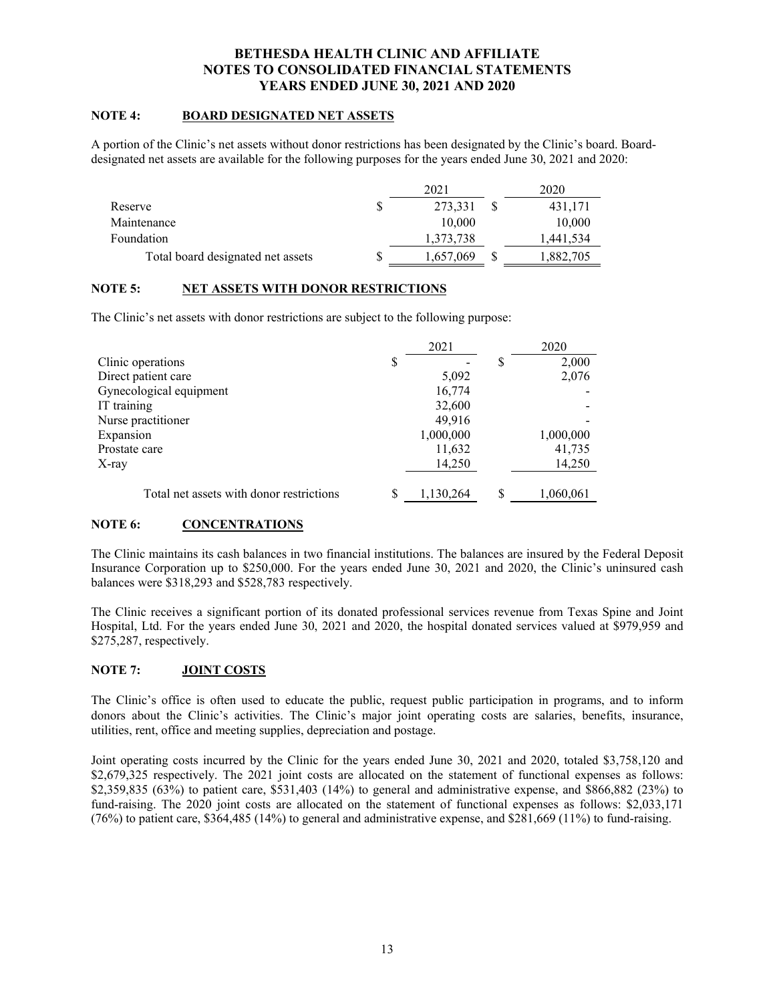### **NOTE 4: BOARD DESIGNATED NET ASSETS**

A portion of the Clinic's net assets without donor restrictions has been designated by the Clinic's board. Boarddesignated net assets are available for the following purposes for the years ended June 30, 2021 and 2020:

|                                   | 2021      | 2020      |
|-----------------------------------|-----------|-----------|
| Reserve                           | 273,331   | 431,171   |
| Maintenance                       | 10.000    | 10,000    |
| Foundation                        | 1,373,738 | 1.441.534 |
| Total board designated net assets | 1,657,069 | 1.882.705 |

## **NOTE 5: NET ASSETS WITH DONOR RESTRICTIONS**

The Clinic's net assets with donor restrictions are subject to the following purpose:

|                                          | 2021 |                | 2020      |
|------------------------------------------|------|----------------|-----------|
| Clinic operations                        | S    | S              | 2,000     |
| Direct patient care                      |      | 5,092          | 2,076     |
| Gynecological equipment                  |      | 16,774         |           |
| IT training                              |      | 32,600         |           |
| Nurse practitioner                       |      | 49.916         |           |
| Expansion                                |      | 1,000,000      | 1,000,000 |
| Prostate care                            |      | 11,632         | 41,735    |
| X-ray                                    |      | 14,250         | 14,250    |
| Total net assets with donor restrictions | S    | 1,130,264<br>S | 1,060,061 |

### **NOTE 6: CONCENTRATIONS**

The Clinic maintains its cash balances in two financial institutions. The balances are insured by the Federal Deposit Insurance Corporation up to \$250,000. For the years ended June 30, 2021 and 2020, the Clinic's uninsured cash balances were \$318,293 and \$528,783 respectively.

The Clinic receives a significant portion of its donated professional services revenue from Texas Spine and Joint Hospital, Ltd. For the years ended June 30, 2021 and 2020, the hospital donated services valued at \$979,959 and \$275,287, respectively.

### **NOTE 7: JOINT COSTS**

The Clinic's office is often used to educate the public, request public participation in programs, and to inform donors about the Clinic's activities. The Clinic's major joint operating costs are salaries, benefits, insurance, utilities, rent, office and meeting supplies, depreciation and postage.

Joint operating costs incurred by the Clinic for the years ended June 30, 2021 and 2020, totaled \$3,758,120 and \$2,679,325 respectively. The 2021 joint costs are allocated on the statement of functional expenses as follows: \$2,359,835 (63%) to patient care, \$531,403 (14%) to general and administrative expense, and \$866,882 (23%) to fund-raising. The 2020 joint costs are allocated on the statement of functional expenses as follows: \$2,033,171 (76%) to patient care, \$364,485 (14%) to general and administrative expense, and \$281,669 (11%) to fund-raising.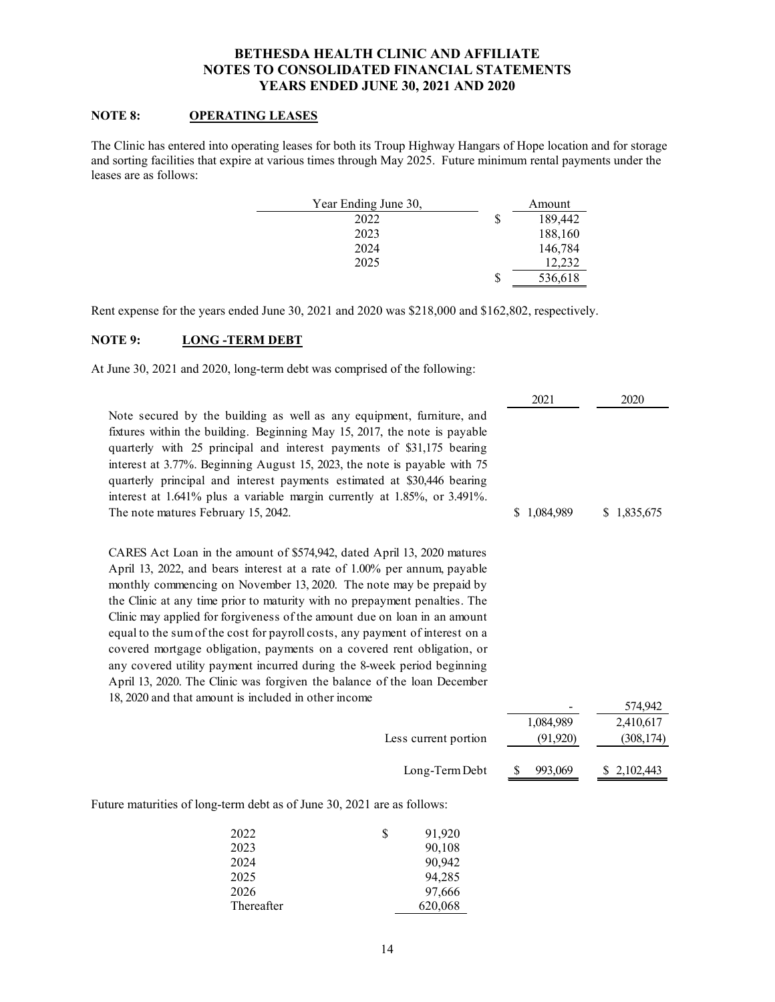### **NOTE 8: OPERATING LEASES**

The Clinic has entered into operating leases for both its Troup Highway Hangars of Hope location and for storage and sorting facilities that expire at various times through May 2025. Future minimum rental payments under the leases are as follows:

| Year Ending June 30, | Amount        |
|----------------------|---------------|
| 2022                 | \$<br>189,442 |
| 2023                 | 188,160       |
| 2024                 | 146,784       |
| 2025                 | 12,232        |
|                      | \$<br>536,618 |

Rent expense for the years ended June 30, 2021 and 2020 was \$218,000 and \$162,802, respectively.

### **NOTE 9: LONG -TERM DEBT**

At June 30, 2021 and 2020, long-term debt was comprised of the following:

|                                                                                                                                                                                                                                                                                                                                                                                                                                                                                                                                                                                                                                                                                                        | 2021           | 2020        |
|--------------------------------------------------------------------------------------------------------------------------------------------------------------------------------------------------------------------------------------------------------------------------------------------------------------------------------------------------------------------------------------------------------------------------------------------------------------------------------------------------------------------------------------------------------------------------------------------------------------------------------------------------------------------------------------------------------|----------------|-------------|
| Note secured by the building as well as any equipment, furniture, and<br>fixtures within the building. Beginning May 15, 2017, the note is payable<br>quarterly with 25 principal and interest payments of \$31,175 bearing<br>interest at 3.77%. Beginning August 15, 2023, the note is payable with 75<br>quarterly principal and interest payments estimated at \$30,446 bearing<br>interest at 1.641% plus a variable margin currently at 1.85%, or 3.491%.<br>The note matures February 15, 2042.                                                                                                                                                                                                 | 1,084,989<br>S | \$1,835,675 |
| CARES Act Loan in the amount of \$574,942, dated April 13, 2020 matures<br>April 13, 2022, and bears interest at a rate of 1.00% per annum, payable<br>monthly commencing on November 13, 2020. The note may be prepaid by<br>the Clinic at any time prior to maturity with no prepayment penalties. The<br>Clinic may applied for forgiveness of the amount due on loan in an amount<br>equal to the sum of the cost for payroll costs, any payment of interest on a<br>covered mortgage obligation, payments on a covered rent obligation, or<br>any covered utility payment incurred during the 8-week period beginning<br>April 13, 2020. The Clinic was forgiven the balance of the loan December |                |             |
| 18, 2020 and that amount is included in other income                                                                                                                                                                                                                                                                                                                                                                                                                                                                                                                                                                                                                                                   |                | 574,942     |
|                                                                                                                                                                                                                                                                                                                                                                                                                                                                                                                                                                                                                                                                                                        | 1,084,989      | 2,410,617   |
| Less current portion                                                                                                                                                                                                                                                                                                                                                                                                                                                                                                                                                                                                                                                                                   | (91, 920)      | (308, 174)  |
| Long-Term Debt                                                                                                                                                                                                                                                                                                                                                                                                                                                                                                                                                                                                                                                                                         | 993,069        | 2.102.443   |

Future maturities of long-term debt as of June 30, 2021 are as follows:

| 2022       | S | 91,920  |
|------------|---|---------|
| 2023       |   | 90,108  |
| 2024       |   | 90.942  |
| 2025       |   | 94,285  |
| 2026       |   | 97,666  |
| Thereafter |   | 620,068 |